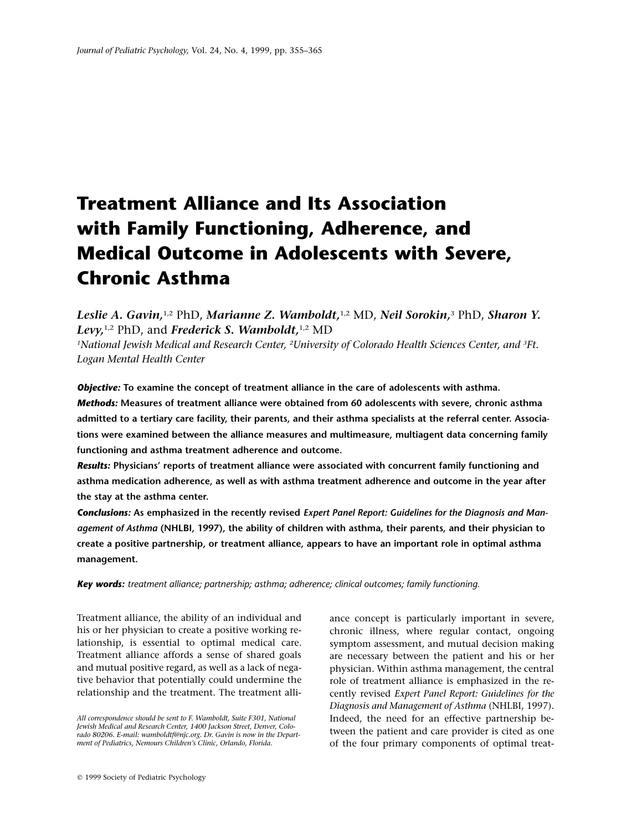# **Treatment Alliance and Its Association with Family Functioning, Adherence, and Medical Outcome in Adolescents with Severe, Chronic Asthma**

*Leslie A. Gavin,*1,2 PhD, *Marianne Z. Wamboldt,*1,2 MD, *Neil Sorokin,*<sup>3</sup> PhD, *Sharon Y. Levy,*1,2 PhD, and *Frederick S. Wamboldt,*1,2 MD

*1 National Jewish Medical and Research Center, <sup>2</sup> University of Colorado Health Sciences Center, and <sup>3</sup> Ft. Logan Mental Health Center*

*Objective:* **To examine the concept of treatment alliance in the care of adolescents with asthma.**

*Methods:* **Measures of treatment alliance were obtained from 60 adolescents with severe, chronic asthma admitted to a tertiary care facility, their parents, and their asthma specialists at the referral center. Associations were examined between the alliance measures and multimeasure, multiagent data concerning family functioning and asthma treatment adherence and outcome.**

*Results:* **Physicians' reports of treatment alliance were associated with concurrent family functioning and asthma medication adherence, as well as with asthma treatment adherence and outcome in the year after the stay at the asthma center.**

*Conclusions:* **As emphasized in the recently revised** *Expert Panel Report: Guidelines for the Diagnosis and Management of Asthma* **(NHLBI, 1997), the ability of children with asthma, their parents, and their physician to create a positive partnership, or treatment alliance, appears to have an important role in optimal asthma management.**

*Key words: treatment alliance; partnership; asthma; adherence; clinical outcomes; family functioning.*

Treatment alliance, the ability of an individual and his or her physician to create a positive working relationship, is essential to optimal medical care. Treatment alliance affords a sense of shared goals and mutual positive regard, as well as a lack of negative behavior that potentially could undermine the relationship and the treatment. The treatment alli-

chronic illness, where regular contact, ongoing symptom assessment, and mutual decision making are necessary between the patient and his or her physician. Within asthma management, the central role of treatment alliance is emphasized in the recently revised *Expert Panel Report: Guidelines for the Diagnosis and Management of Asthma* (NHLBI, 1997). Indeed, the need for an effective partnership between the patient and care provider is cited as one of the four primary components of optimal treat-

ance concept is particularly important in severe,

*All correspondence should be sent to F. Wamboldt, Suite F301, National Jewish Medical and Research Center, 1400 Jackson Street, Denver, Colorado 80206. E-mail: wamboldtf@njc.org. Dr. Gavin is now in the Department of Pediatrics, Nemours Children's Clinic, Orlando, Florida.*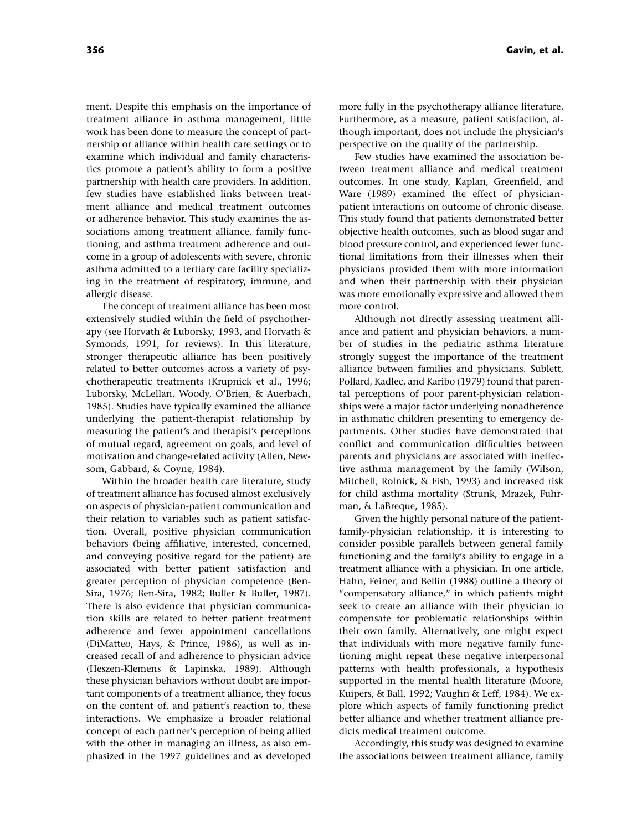ment. Despite this emphasis on the importance of treatment alliance in asthma management, little work has been done to measure the concept of partnership or alliance within health care settings or to examine which individual and family characteristics promote a patient's ability to form a positive partnership with health care providers. In addition, few studies have established links between treatment alliance and medical treatment outcomes or adherence behavior. This study examines the associations among treatment alliance, family functioning, and asthma treatment adherence and outcome in a group of adolescents with severe, chronic asthma admitted to a tertiary care facility specializing in the treatment of respiratory, immune, and allergic disease.

The concept of treatment alliance has been most extensively studied within the field of psychotherapy (see Horvath & Luborsky, 1993, and Horvath & Symonds, 1991, for reviews). In this literature, stronger therapeutic alliance has been positively related to better outcomes across a variety of psychotherapeutic treatments (Krupnick et al., 1996; Luborsky, McLellan, Woody, O'Brien, & Auerbach, 1985). Studies have typically examined the alliance underlying the patient-therapist relationship by measuring the patient's and therapist's perceptions of mutual regard, agreement on goals, and level of motivation and change-related activity (Allen, Newsom, Gabbard, & Coyne, 1984).

Within the broader health care literature, study of treatment alliance has focused almost exclusively on aspects of physician-patient communication and their relation to variables such as patient satisfaction. Overall, positive physician communication behaviors (being affiliative, interested, concerned, and conveying positive regard for the patient) are associated with better patient satisfaction and greater perception of physician competence (Ben-Sira, 1976; Ben-Sira, 1982; Buller & Buller, 1987). There is also evidence that physician communication skills are related to better patient treatment adherence and fewer appointment cancellations (DiMatteo, Hays, & Prince, 1986), as well as increased recall of and adherence to physician advice (Heszen-Klemens & Lapinska, 1989). Although these physician behaviors without doubt are important components of a treatment alliance, they focus on the content of, and patient's reaction to, these interactions. We emphasize a broader relational concept of each partner's perception of being allied with the other in managing an illness, as also emphasized in the 1997 guidelines and as developed

more fully in the psychotherapy alliance literature. Furthermore, as a measure, patient satisfaction, although important, does not include the physician's perspective on the quality of the partnership.

Few studies have examined the association between treatment alliance and medical treatment outcomes. In one study, Kaplan, Greenfield, and Ware (1989) examined the effect of physicianpatient interactions on outcome of chronic disease. This study found that patients demonstrated better objective health outcomes, such as blood sugar and blood pressure control, and experienced fewer functional limitations from their illnesses when their physicians provided them with more information and when their partnership with their physician was more emotionally expressive and allowed them more control.

Although not directly assessing treatment alliance and patient and physician behaviors, a number of studies in the pediatric asthma literature strongly suggest the importance of the treatment alliance between families and physicians. Sublett, Pollard, Kadlec, and Karibo (1979) found that parental perceptions of poor parent-physician relationships were a major factor underlying nonadherence in asthmatic children presenting to emergency departments. Other studies have demonstrated that conflict and communication difficulties between parents and physicians are associated with ineffective asthma management by the family (Wilson, Mitchell, Rolnick, & Fish, 1993) and increased risk for child asthma mortality (Strunk, Mrazek, Fuhrman, & LaBreque, 1985).

Given the highly personal nature of the patientfamily-physician relationship, it is interesting to consider possible parallels between general family functioning and the family's ability to engage in a treatment alliance with a physician. In one article, Hahn, Feiner, and Bellin (1988) outline a theory of "compensatory alliance," in which patients might seek to create an alliance with their physician to compensate for problematic relationships within their own family. Alternatively, one might expect that individuals with more negative family functioning might repeat these negative interpersonal patterns with health professionals, a hypothesis supported in the mental health literature (Moore, Kuipers, & Ball, 1992; Vaughn & Leff, 1984). We explore which aspects of family functioning predict better alliance and whether treatment alliance predicts medical treatment outcome.

Accordingly, this study was designed to examine the associations between treatment alliance, family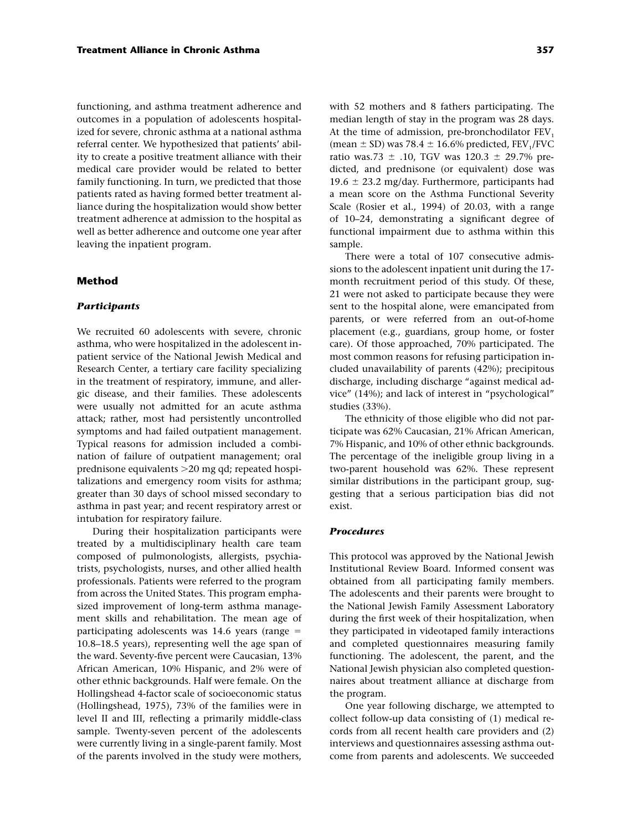functioning, and asthma treatment adherence and outcomes in a population of adolescents hospitalized for severe, chronic asthma at a national asthma referral center. We hypothesized that patients' ability to create a positive treatment alliance with their medical care provider would be related to better family functioning. In turn, we predicted that those patients rated as having formed better treatment alliance during the hospitalization would show better treatment adherence at admission to the hospital as well as better adherence and outcome one year after leaving the inpatient program.

## **Method**

## *Participants*

We recruited 60 adolescents with severe, chronic asthma, who were hospitalized in the adolescent inpatient service of the National Jewish Medical and Research Center, a tertiary care facility specializing in the treatment of respiratory, immune, and allergic disease, and their families. These adolescents were usually not admitted for an acute asthma attack; rather, most had persistently uncontrolled symptoms and had failed outpatient management. Typical reasons for admission included a combination of failure of outpatient management; oral prednisone equivalents  $>$  20 mg qd; repeated hospitalizations and emergency room visits for asthma; greater than 30 days of school missed secondary to asthma in past year; and recent respiratory arrest or intubation for respiratory failure.

During their hospitalization participants were treated by a multidisciplinary health care team composed of pulmonologists, allergists, psychiatrists, psychologists, nurses, and other allied health professionals. Patients were referred to the program from across the United States. This program emphasized improvement of long-term asthma management skills and rehabilitation. The mean age of participating adolescents was  $14.6$  years (range  $=$ 10.8–18.5 years), representing well the age span of the ward. Seventy-five percent were Caucasian, 13% African American, 10% Hispanic, and 2% were of other ethnic backgrounds. Half were female. On the Hollingshead 4-factor scale of socioeconomic status (Hollingshead, 1975), 73% of the families were in level II and III, reflecting a primarily middle-class sample. Twenty-seven percent of the adolescents were currently living in a single-parent family. Most of the parents involved in the study were mothers,

with 52 mothers and 8 fathers participating. The median length of stay in the program was 28 days. At the time of admission, pre-bronchodilator  $FEV<sub>1</sub>$ (mean  $\pm$  SD) was 78.4  $\pm$  16.6% predicted, FEV<sub>1</sub>/FVC ratio was.73  $\pm$  .10, TGV was 120.3  $\pm$  29.7% predicted, and prednisone (or equivalent) dose was 19.6  $\pm$  23.2 mg/day. Furthermore, participants had a mean score on the Asthma Functional Severity Scale (Rosier et al., 1994) of 20.03, with a range of 10–24, demonstrating a significant degree of functional impairment due to asthma within this sample.

There were a total of 107 consecutive admissions to the adolescent inpatient unit during the 17 month recruitment period of this study. Of these, 21 were not asked to participate because they were sent to the hospital alone, were emancipated from parents, or were referred from an out-of-home placement (e.g., guardians, group home, or foster care). Of those approached, 70% participated. The most common reasons for refusing participation included unavailability of parents (42%); precipitous discharge, including discharge "against medical advice" (14%); and lack of interest in "psychological" studies (33%).

The ethnicity of those eligible who did not participate was 62% Caucasian, 21% African American, 7% Hispanic, and 10% of other ethnic backgrounds. The percentage of the ineligible group living in a two-parent household was 62%. These represent similar distributions in the participant group, suggesting that a serious participation bias did not exist.

## *Procedures*

This protocol was approved by the National Jewish Institutional Review Board. Informed consent was obtained from all participating family members. The adolescents and their parents were brought to the National Jewish Family Assessment Laboratory during the first week of their hospitalization, when they participated in videotaped family interactions and completed questionnaires measuring family functioning. The adolescent, the parent, and the National Jewish physician also completed questionnaires about treatment alliance at discharge from the program.

One year following discharge, we attempted to collect follow-up data consisting of (1) medical records from all recent health care providers and (2) interviews and questionnaires assessing asthma outcome from parents and adolescents. We succeeded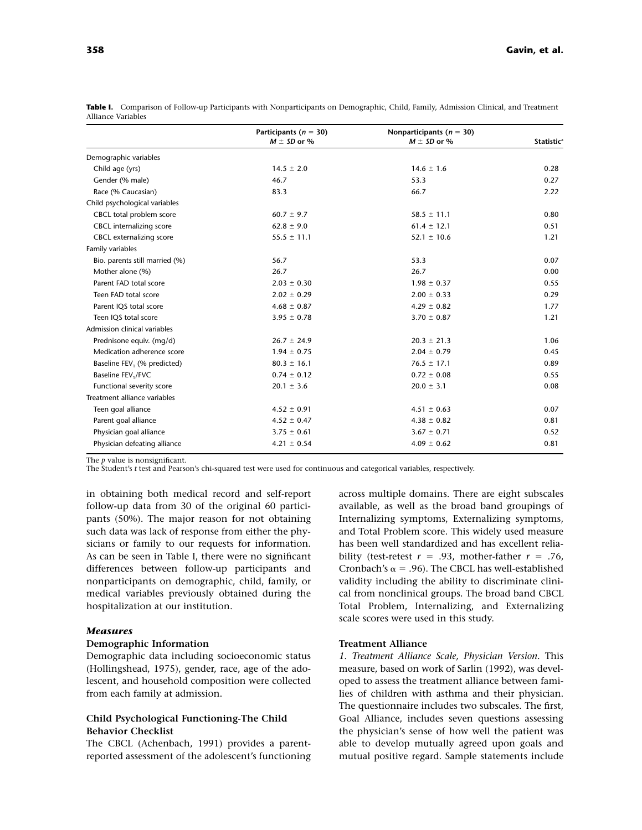|                                 | Participants ( $n = 30$ )<br>$M \pm SD$ or % | Nonparticipants ( $n = 30$ )<br>$M \pm SD$ or % | <b>Statistica</b> |
|---------------------------------|----------------------------------------------|-------------------------------------------------|-------------------|
| Demographic variables           |                                              |                                                 |                   |
| Child age (yrs)                 | $14.5 \pm 2.0$                               | $14.6 \pm 1.6$                                  | 0.28              |
| Gender (% male)                 | 46.7                                         | 53.3                                            | 0.27              |
| Race (% Caucasian)              | 83.3                                         | 66.7                                            | 2.22              |
| Child psychological variables   |                                              |                                                 |                   |
| CBCL total problem score        | $60.7 \pm 9.7$                               | $58.5 \pm 11.1$                                 | 0.80              |
| <b>CBCL</b> internalizing score | $62.8 \pm 9.0$                               | $61.4 \pm 12.1$                                 | 0.51              |
| <b>CBCL</b> externalizing score | $55.5 \pm 11.1$                              | $52.1 \pm 10.6$                                 | 1.21              |
| Family variables                |                                              |                                                 |                   |
| Bio. parents still married (%)  | 56.7                                         | 53.3                                            | 0.07              |
| Mother alone (%)                | 26.7                                         | 26.7                                            | 0.00              |
| Parent FAD total score          | $2.03 \pm 0.30$                              | $1.98 \pm 0.37$                                 | 0.55              |
| Teen FAD total score            | $2.02 \pm 0.29$                              | $2.00 \pm 0.33$                                 | 0.29              |
| Parent IQS total score          | $4.68 \pm 0.87$                              | $4.29 \pm 0.82$                                 | 1.77              |
| Teen IQS total score            | $3.95 \pm 0.78$                              | $3.70 \pm 0.87$                                 | 1.21              |
| Admission clinical variables    |                                              |                                                 |                   |
| Prednisone equiv. (mg/d)        | $26.7 \pm 24.9$                              | $20.3 \pm 21.3$                                 | 1.06              |
| Medication adherence score      | $1.94 \pm 0.75$                              | $2.04 \pm 0.79$                                 | 0.45              |
| Baseline FEV, (% predicted)     | $80.3 \pm 16.1$                              | $76.5 \pm 17.1$                                 | 0.89              |
| Baseline FEV,/FVC               | $0.74 \pm 0.12$                              | $0.72 \pm 0.08$                                 | 0.55              |
| Functional severity score       | $20.1 \pm 3.6$                               | $20.0 \pm 3.1$                                  | 0.08              |
| Treatment alliance variables    |                                              |                                                 |                   |
| Teen goal alliance              | $4.52 \pm 0.91$                              | $4.51 \pm 0.63$                                 | 0.07              |
| Parent goal alliance            | $4.52 \pm 0.47$                              | $4.38 \pm 0.82$                                 | 0.81              |
| Physician goal alliance         | $3.75 \pm 0.61$                              | $3.67 \pm 0.71$                                 | 0.52              |
| Physician defeating alliance    | $4.21 \pm 0.54$                              | $4.09 \pm 0.62$                                 | 0.81              |

**Table I.** Comparison of Follow-up Participants with Nonparticipants on Demographic, Child, Family, Admission Clinical, and Treatment Alliance Variables

The *p* value is nonsignificant.

The Student's *t* test and Pearson's chi-squared test were used for continuous and categorical variables, respectively.

in obtaining both medical record and self-report follow-up data from 30 of the original 60 participants (50%). The major reason for not obtaining such data was lack of response from either the physicians or family to our requests for information. As can be seen in Table I, there were no significant differences between follow-up participants and nonparticipants on demographic, child, family, or medical variables previously obtained during the hospitalization at our institution.

#### *Measures*

#### **Demographic Information**

Demographic data including socioeconomic status (Hollingshead, 1975), gender, race, age of the adolescent, and household composition were collected from each family at admission.

# **Child Psychological Functioning-The Child Behavior Checklist**

The CBCL (Achenbach, 1991) provides a parentreported assessment of the adolescent's functioning across multiple domains. There are eight subscales available, as well as the broad band groupings of Internalizing symptoms, Externalizing symptoms, and Total Problem score. This widely used measure has been well standardized and has excellent reliability (test-retest  $r = .93$ , mother-father  $r = .76$ , Cronbach's  $\alpha$  = .96). The CBCL has well-established validity including the ability to discriminate clinical from nonclinical groups. The broad band CBCL Total Problem, Internalizing, and Externalizing scale scores were used in this study.

#### **Treatment Alliance**

*1. Treatment Alliance Scale, Physician Version.* This measure, based on work of Sarlin (1992), was developed to assess the treatment alliance between families of children with asthma and their physician. The questionnaire includes two subscales. The first, Goal Alliance, includes seven questions assessing the physician's sense of how well the patient was able to develop mutually agreed upon goals and mutual positive regard. Sample statements include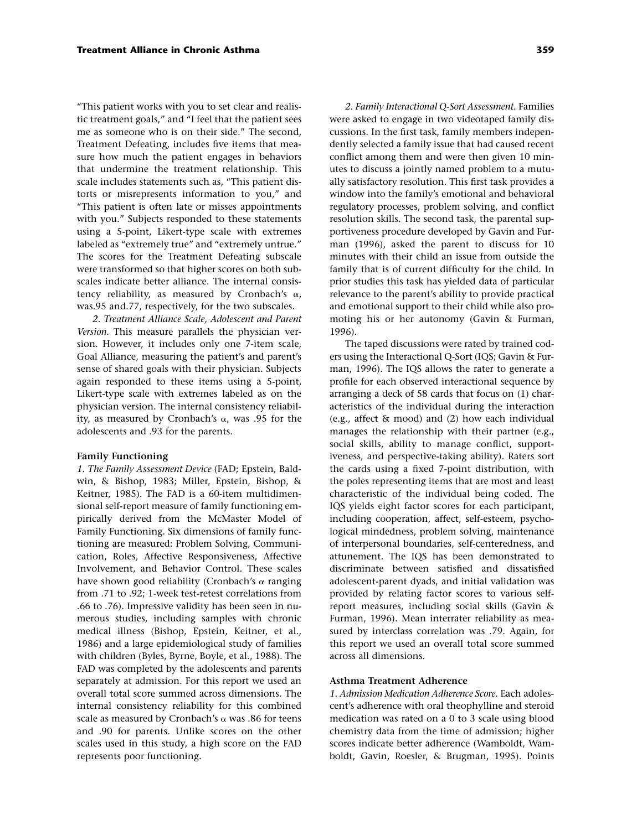"This patient works with you to set clear and realistic treatment goals," and "I feel that the patient sees me as someone who is on their side." The second, Treatment Defeating, includes five items that measure how much the patient engages in behaviors that undermine the treatment relationship. This scale includes statements such as, "This patient distorts or misrepresents information to you," and "This patient is often late or misses appointments with you." Subjects responded to these statements using a 5-point, Likert-type scale with extremes labeled as "extremely true" and "extremely untrue." The scores for the Treatment Defeating subscale were transformed so that higher scores on both subscales indicate better alliance. The internal consistency reliability, as measured by Cronbach's  $\alpha$ , was.95 and.77, respectively, for the two subscales.

*2. Treatment Alliance Scale, Adolescent and Parent Version.* This measure parallels the physician version. However, it includes only one 7-item scale, Goal Alliance, measuring the patient's and parent's sense of shared goals with their physician. Subjects again responded to these items using a 5-point, Likert-type scale with extremes labeled as on the physician version. The internal consistency reliability, as measured by Cronbach's  $\alpha$ , was .95 for the adolescents and .93 for the parents.

### **Family Functioning**

*1. The Family Assessment Device* (FAD; Epstein, Baldwin, & Bishop, 1983; Miller, Epstein, Bishop, & Keitner, 1985). The FAD is a 60-item multidimensional self-report measure of family functioning empirically derived from the McMaster Model of Family Functioning. Six dimensions of family functioning are measured: Problem Solving, Communication, Roles, Affective Responsiveness, Affective Involvement, and Behavior Control. These scales have shown good reliability (Cronbach's  $\alpha$  ranging from .71 to .92; 1-week test-retest correlations from .66 to .76). Impressive validity has been seen in numerous studies, including samples with chronic medical illness (Bishop, Epstein, Keitner, et al., 1986) and a large epidemiological study of families with children (Byles, Byrne, Boyle, et al., 1988). The FAD was completed by the adolescents and parents separately at admission. For this report we used an overall total score summed across dimensions. The internal consistency reliability for this combined scale as measured by Cronbach's  $\alpha$  was .86 for teens and .90 for parents. Unlike scores on the other scales used in this study, a high score on the FAD represents poor functioning.

*2. Family Interactional Q-Sort Assessment.* Families were asked to engage in two videotaped family discussions. In the first task, family members independently selected a family issue that had caused recent conflict among them and were then given 10 minutes to discuss a jointly named problem to a mutually satisfactory resolution. This first task provides a window into the family's emotional and behavioral regulatory processes, problem solving, and conflict resolution skills. The second task, the parental supportiveness procedure developed by Gavin and Furman (1996), asked the parent to discuss for 10 minutes with their child an issue from outside the family that is of current difficulty for the child. In prior studies this task has yielded data of particular relevance to the parent's ability to provide practical and emotional support to their child while also promoting his or her autonomy (Gavin & Furman, 1996).

The taped discussions were rated by trained coders using the Interactional Q-Sort (IQS; Gavin & Furman, 1996). The IQS allows the rater to generate a profile for each observed interactional sequence by arranging a deck of 58 cards that focus on (1) characteristics of the individual during the interaction (e.g., affect & mood) and (2) how each individual manages the relationship with their partner (e.g., social skills, ability to manage conflict, supportiveness, and perspective-taking ability). Raters sort the cards using a fixed 7-point distribution, with the poles representing items that are most and least characteristic of the individual being coded. The IQS yields eight factor scores for each participant, including cooperation, affect, self-esteem, psychological mindedness, problem solving, maintenance of interpersonal boundaries, self-centeredness, and attunement. The IQS has been demonstrated to discriminate between satisfied and dissatisfied adolescent-parent dyads, and initial validation was provided by relating factor scores to various selfreport measures, including social skills (Gavin & Furman, 1996). Mean interrater reliability as measured by interclass correlation was .79. Again, for this report we used an overall total score summed across all dimensions.

#### **Asthma Treatment Adherence**

*1. Admission Medication Adherence Score.* Each adolescent's adherence with oral theophylline and steroid medication was rated on a 0 to 3 scale using blood chemistry data from the time of admission; higher scores indicate better adherence (Wamboldt, Wamboldt, Gavin, Roesler, & Brugman, 1995). Points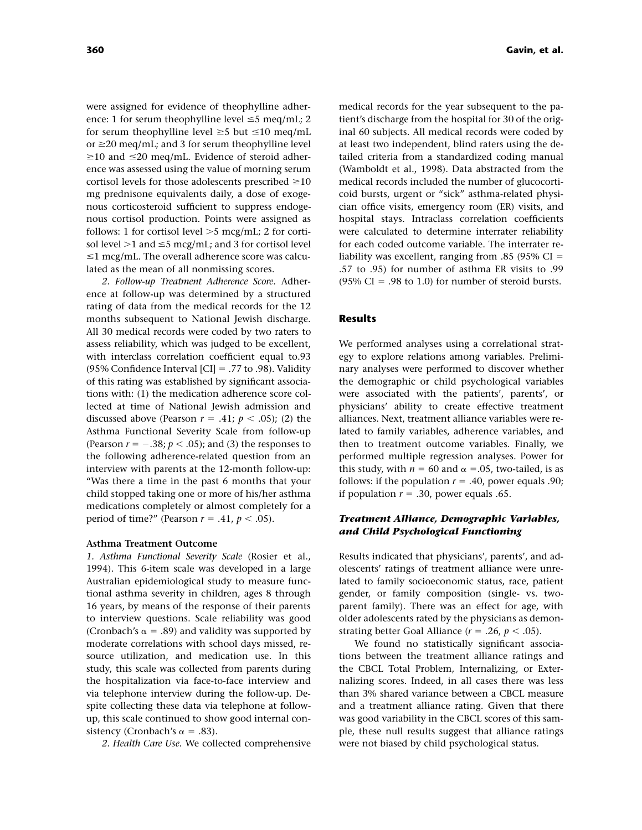were assigned for evidence of theophylline adherence: 1 for serum theophylline level  $\leq$ 5 meq/mL; 2 for serum theophylline level  $\geq$ 5 but  $\leq$ 10 meq/mL or  $\geq$ 20 meq/mL; and 3 for serum theophylline level  $\geq$ 10 and  $\leq$ 20 meq/mL. Evidence of steroid adherence was assessed using the value of morning serum cortisol levels for those adolescents prescribed  $\geq 10$ mg prednisone equivalents daily, a dose of exogenous corticosteroid sufficient to suppress endogenous cortisol production. Points were assigned as follows: 1 for cortisol level  $>5$  mcg/mL; 2 for cortisol level  $>1$  and  $\leq$ 5 mcg/mL; and 3 for cortisol level  $\leq$ 1 mcg/mL. The overall adherence score was calculated as the mean of all nonmissing scores.

*2. Follow-up Treatment Adherence Score.* Adherence at follow-up was determined by a structured rating of data from the medical records for the 12 months subsequent to National Jewish discharge. All 30 medical records were coded by two raters to assess reliability, which was judged to be excellent, with interclass correlation coefficient equal to.93 (95% Confidence Interval  $\text{[CI]} = .77$  to .98). Validity of this rating was established by significant associations with: (1) the medication adherence score collected at time of National Jewish admission and discussed above (Pearson  $r = .41$ ;  $p < .05$ ); (2) the Asthma Functional Severity Scale from follow-up (Pearson  $r = -.38$ ;  $p < .05$ ); and (3) the responses to the following adherence-related question from an interview with parents at the 12-month follow-up: "Was there a time in the past 6 months that your child stopped taking one or more of his/her asthma medications completely or almost completely for a period of time?" (Pearson  $r = .41$ ,  $p < .05$ ).

#### **Asthma Treatment Outcome**

*1. Asthma Functional Severity Scale* (Rosier et al., 1994). This 6-item scale was developed in a large Australian epidemiological study to measure functional asthma severity in children, ages 8 through 16 years, by means of the response of their parents to interview questions. Scale reliability was good (Cronbach's  $\alpha$  = .89) and validity was supported by moderate correlations with school days missed, resource utilization, and medication use. In this study, this scale was collected from parents during the hospitalization via face-to-face interview and via telephone interview during the follow-up. Despite collecting these data via telephone at followup, this scale continued to show good internal consistency (Cronbach's  $\alpha = .83$ ).

*2. Health Care Use.* We collected comprehensive

medical records for the year subsequent to the patient's discharge from the hospital for 30 of the original 60 subjects. All medical records were coded by at least two independent, blind raters using the detailed criteria from a standardized coding manual (Wamboldt et al., 1998). Data abstracted from the medical records included the number of glucocorticoid bursts, urgent or "sick" asthma-related physician office visits, emergency room (ER) visits, and hospital stays. Intraclass correlation coefficients were calculated to determine interrater reliability for each coded outcome variable. The interrater reliability was excellent, ranging from .85 (95%  $CI =$ .57 to .95) for number of asthma ER visits to .99  $(95\% \text{ CI} = .98 \text{ to } 1.0)$  for number of steroid bursts.

# **Results**

We performed analyses using a correlational strategy to explore relations among variables. Preliminary analyses were performed to discover whether the demographic or child psychological variables were associated with the patients', parents', or physicians' ability to create effective treatment alliances. Next, treatment alliance variables were related to family variables, adherence variables, and then to treatment outcome variables. Finally, we performed multiple regression analyses. Power for this study, with  $n = 60$  and  $\alpha = .05$ , two-tailed, is as follows: if the population  $r = .40$ , power equals .90; if population  $r = .30$ , power equals .65.

# *Treatment Alliance, Demographic Variables, and Child Psychological Functioning*

Results indicated that physicians', parents', and adolescents' ratings of treatment alliance were unrelated to family socioeconomic status, race, patient gender, or family composition (single- vs. twoparent family). There was an effect for age, with older adolescents rated by the physicians as demonstrating better Goal Alliance  $(r = .26, p < .05)$ .

We found no statistically significant associations between the treatment alliance ratings and the CBCL Total Problem, Internalizing, or Externalizing scores. Indeed, in all cases there was less than 3% shared variance between a CBCL measure and a treatment alliance rating. Given that there was good variability in the CBCL scores of this sample, these null results suggest that alliance ratings were not biased by child psychological status.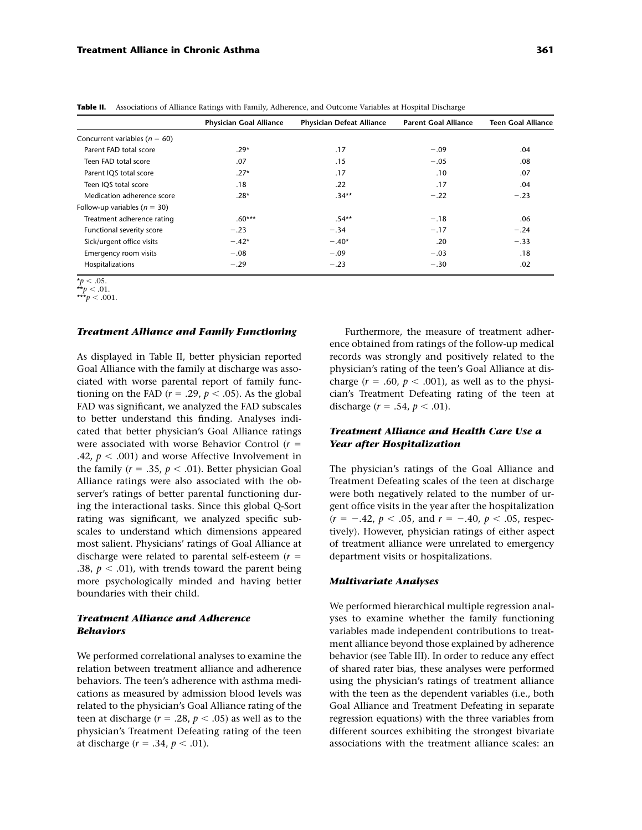|                                   | <b>Physician Goal Alliance</b> | <b>Physician Defeat Alliance</b> | <b>Parent Goal Alliance</b> | <b>Teen Goal Alliance</b> |
|-----------------------------------|--------------------------------|----------------------------------|-----------------------------|---------------------------|
| Concurrent variables ( $n = 60$ ) |                                |                                  |                             |                           |
| Parent FAD total score            | $.29*$                         | .17                              | $-.09$                      | .04                       |
| Teen FAD total score              | .07                            | .15                              | $-.05$                      | .08                       |
| Parent IQS total score            | $.27*$                         | .17                              | .10                         | .07                       |
| Teen IQS total score              | .18                            | .22                              | .17                         | .04                       |
| Medication adherence score        | $.28*$                         | $.34**$                          | $-.22$                      | $-.23$                    |
| Follow-up variables ( $n = 30$ )  |                                |                                  |                             |                           |
| Treatment adherence rating        | $.60***$                       | $.54**$                          | $-.18$                      | .06                       |
| Functional severity score         | $-.23$                         | $-.34$                           | $-.17$                      | $-.24$                    |
| Sick/urgent office visits         | $-.42*$                        | $-.40*$                          | .20                         | $-.33$                    |
| Emergency room visits             | $-.08$                         | $-.09$                           | $-.03$                      | .18                       |
| Hospitalizations                  | $-.29$                         | $-.23$                           | $-.30$                      | .02                       |

**Table II.** Associations of Alliance Ratings with Family, Adherence, and Outcome Variables at Hospital Discharge

 $*_{p} < .05.$ 

 $*$ *r* $p$  < .01.

\*\*\* $p < .001$ .

### *Treatment Alliance and Family Functioning*

As displayed in Table II, better physician reported Goal Alliance with the family at discharge was associated with worse parental report of family functioning on the FAD  $(r = .29, p < .05)$ . As the global FAD was significant, we analyzed the FAD subscales to better understand this finding. Analyses indicated that better physician's Goal Alliance ratings were associated with worse Behavior Control  $(r =$ .42,  $p < .001$ ) and worse Affective Involvement in the family  $(r = .35, p < .01)$ . Better physician Goal Alliance ratings were also associated with the observer's ratings of better parental functioning during the interactional tasks. Since this global Q-Sort rating was significant, we analyzed specific subscales to understand which dimensions appeared most salient. Physicians' ratings of Goal Alliance at discharge were related to parental self-esteem  $(r =$ .38,  $p < .01$ ), with trends toward the parent being more psychologically minded and having better boundaries with their child.

# *Treatment Alliance and Adherence Behaviors*

We performed correlational analyses to examine the relation between treatment alliance and adherence behaviors. The teen's adherence with asthma medications as measured by admission blood levels was related to the physician's Goal Alliance rating of the teen at discharge ( $r = .28$ ,  $p < .05$ ) as well as to the physician's Treatment Defeating rating of the teen at discharge  $(r = .34, p < .01)$ .

Furthermore, the measure of treatment adherence obtained from ratings of the follow-up medical records was strongly and positively related to the physician's rating of the teen's Goal Alliance at discharge  $(r = .60, p < .001)$ , as well as to the physician's Treatment Defeating rating of the teen at discharge  $(r = .54, p < .01)$ .

# *Treatment Alliance and Health Care Use a Year after Hospitalization*

The physician's ratings of the Goal Alliance and Treatment Defeating scales of the teen at discharge were both negatively related to the number of urgent office visits in the year after the hospitalization  $(r = -.42, p < .05, \text{ and } r = -.40, p < .05, \text{ respec-}$ tively). However, physician ratings of either aspect of treatment alliance were unrelated to emergency department visits or hospitalizations.

#### *Multivariate Analyses*

We performed hierarchical multiple regression analyses to examine whether the family functioning variables made independent contributions to treatment alliance beyond those explained by adherence behavior (see Table III). In order to reduce any effect of shared rater bias, these analyses were performed using the physician's ratings of treatment alliance with the teen as the dependent variables (i.e., both Goal Alliance and Treatment Defeating in separate regression equations) with the three variables from different sources exhibiting the strongest bivariate associations with the treatment alliance scales: an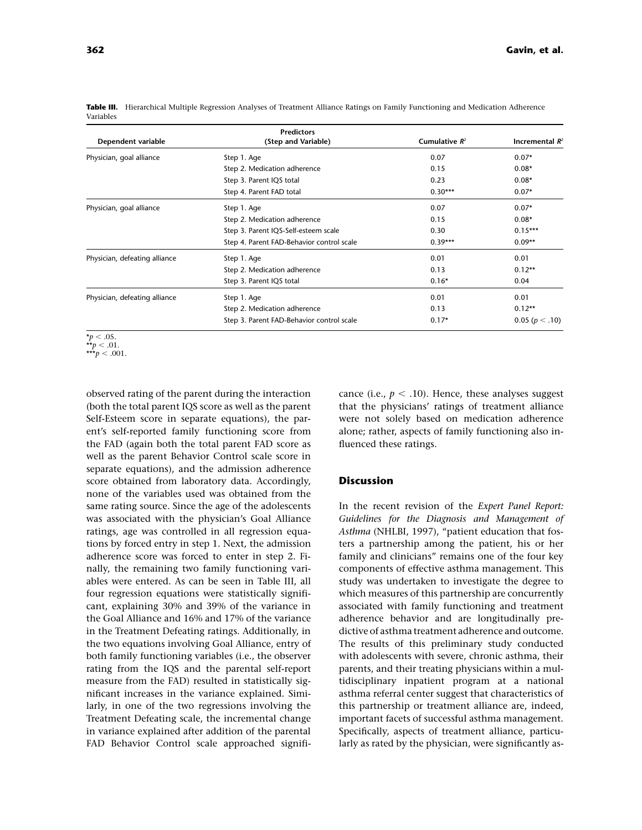| Dependent variable            | <b>Predictors</b><br>(Step and Variable)  | Cumulative $R^2$ | Incremental $R^2$<br>$0.07*$ |
|-------------------------------|-------------------------------------------|------------------|------------------------------|
| Physician, goal alliance      | Step 1. Age                               | 0.07             |                              |
|                               | Step 2. Medication adherence              | 0.15             | $0.08*$                      |
|                               | Step 3. Parent IQS total                  | 0.23             | $0.08*$                      |
|                               | Step 4. Parent FAD total                  | $0.30***$        | $0.07*$                      |
| Physician, goal alliance      | Step 1. Age                               | 0.07             | $0.07*$                      |
|                               | Step 2. Medication adherence              | 0.15             | $0.08*$                      |
|                               | Step 3. Parent IQS-Self-esteem scale      | 0.30             | $0.15***$                    |
|                               | Step 4. Parent FAD-Behavior control scale | $0.39***$        | $0.09**$                     |
| Physician, defeating alliance | Step 1. Age                               | 0.01             | 0.01                         |
|                               | Step 2. Medication adherence              | 0.13             | $0.12**$                     |
|                               | Step 3. Parent IQS total                  | $0.16*$          | 0.04                         |
| Physician, defeating alliance | Step 1. Age                               | 0.01             | 0.01                         |
|                               | Step 2. Medication adherence              | 0.13             | $0.12**$                     |
|                               | Step 3. Parent FAD-Behavior control scale | $0.17*$          | 0.05 (p < .10)               |

**Table III.** Hierarchical Multiple Regression Analyses of Treatment Alliance Ratings on Family Functioning and Medication Adherence Variables

\*\*\* $p < .001$ .

observed rating of the parent during the interaction (both the total parent IQS score as well as the parent Self-Esteem score in separate equations), the parent's self-reported family functioning score from the FAD (again both the total parent FAD score as well as the parent Behavior Control scale score in separate equations), and the admission adherence score obtained from laboratory data. Accordingly, none of the variables used was obtained from the same rating source. Since the age of the adolescents was associated with the physician's Goal Alliance ratings, age was controlled in all regression equations by forced entry in step 1. Next, the admission adherence score was forced to enter in step 2. Finally, the remaining two family functioning variables were entered. As can be seen in Table III, all four regression equations were statistically significant, explaining 30% and 39% of the variance in the Goal Alliance and 16% and 17% of the variance in the Treatment Defeating ratings. Additionally, in the two equations involving Goal Alliance, entry of both family functioning variables (i.e., the observer rating from the IQS and the parental self-report measure from the FAD) resulted in statistically significant increases in the variance explained. Similarly, in one of the two regressions involving the Treatment Defeating scale, the incremental change in variance explained after addition of the parental FAD Behavior Control scale approached significance (i.e.,  $p < .10$ ). Hence, these analyses suggest that the physicians' ratings of treatment alliance were not solely based on medication adherence alone; rather, aspects of family functioning also influenced these ratings.

# **Discussion**

In the recent revision of the *Expert Panel Report: Guidelines for the Diagnosis and Management of Asthma* (NHLBI, 1997), "patient education that fosters a partnership among the patient, his or her family and clinicians" remains one of the four key components of effective asthma management. This study was undertaken to investigate the degree to which measures of this partnership are concurrently associated with family functioning and treatment adherence behavior and are longitudinally predictive of asthma treatment adherence and outcome. The results of this preliminary study conducted with adolescents with severe, chronic asthma, their parents, and their treating physicians within a multidisciplinary inpatient program at a national asthma referral center suggest that characteristics of this partnership or treatment alliance are, indeed, important facets of successful asthma management. Specifically, aspects of treatment alliance, particularly as rated by the physician, were significantly as-

<sup>\*</sup>*p* , .05. \*\**p* , .01.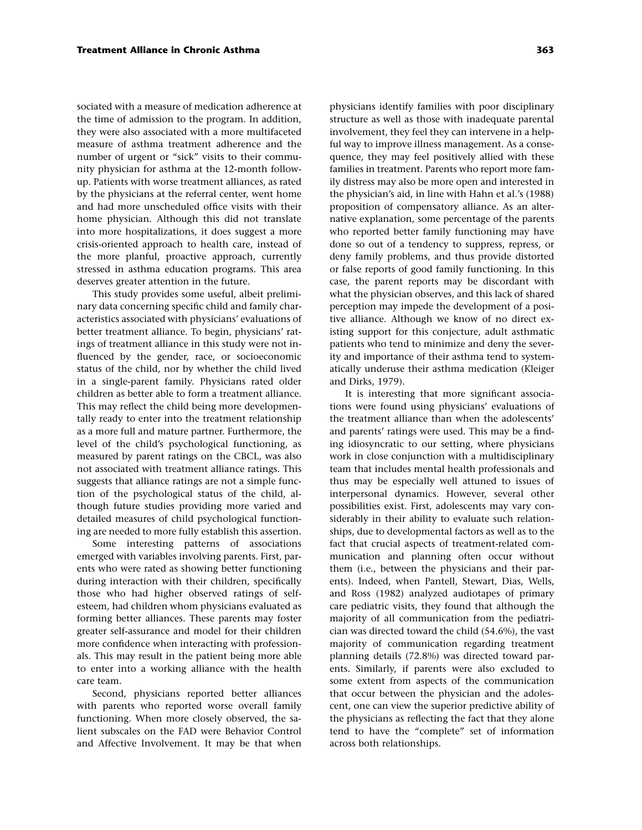sociated with a measure of medication adherence at the time of admission to the program. In addition, they were also associated with a more multifaceted measure of asthma treatment adherence and the number of urgent or "sick" visits to their community physician for asthma at the 12-month followup. Patients with worse treatment alliances, as rated by the physicians at the referral center, went home and had more unscheduled office visits with their home physician. Although this did not translate into more hospitalizations, it does suggest a more crisis-oriented approach to health care, instead of the more planful, proactive approach, currently stressed in asthma education programs. This area deserves greater attention in the future.

This study provides some useful, albeit preliminary data concerning specific child and family characteristics associated with physicians' evaluations of better treatment alliance. To begin, physicians' ratings of treatment alliance in this study were not influenced by the gender, race, or socioeconomic status of the child, nor by whether the child lived in a single-parent family. Physicians rated older children as better able to form a treatment alliance. This may reflect the child being more developmentally ready to enter into the treatment relationship as a more full and mature partner. Furthermore, the level of the child's psychological functioning, as measured by parent ratings on the CBCL, was also not associated with treatment alliance ratings. This suggests that alliance ratings are not a simple function of the psychological status of the child, although future studies providing more varied and detailed measures of child psychological functioning are needed to more fully establish this assertion.

Some interesting patterns of associations emerged with variables involving parents. First, parents who were rated as showing better functioning during interaction with their children, specifically those who had higher observed ratings of selfesteem, had children whom physicians evaluated as forming better alliances. These parents may foster greater self-assurance and model for their children more confidence when interacting with professionals. This may result in the patient being more able to enter into a working alliance with the health care team.

Second, physicians reported better alliances with parents who reported worse overall family functioning. When more closely observed, the salient subscales on the FAD were Behavior Control and Affective Involvement. It may be that when

physicians identify families with poor disciplinary structure as well as those with inadequate parental involvement, they feel they can intervene in a helpful way to improve illness management. As a consequence, they may feel positively allied with these families in treatment. Parents who report more family distress may also be more open and interested in the physician's aid, in line with Hahn et al.'s (1988) proposition of compensatory alliance. As an alternative explanation, some percentage of the parents who reported better family functioning may have done so out of a tendency to suppress, repress, or deny family problems, and thus provide distorted or false reports of good family functioning. In this case, the parent reports may be discordant with what the physician observes, and this lack of shared perception may impede the development of a positive alliance. Although we know of no direct existing support for this conjecture, adult asthmatic patients who tend to minimize and deny the severity and importance of their asthma tend to systematically underuse their asthma medication (Kleiger and Dirks, 1979).

It is interesting that more significant associations were found using physicians' evaluations of the treatment alliance than when the adolescents' and parents' ratings were used. This may be a finding idiosyncratic to our setting, where physicians work in close conjunction with a multidisciplinary team that includes mental health professionals and thus may be especially well attuned to issues of interpersonal dynamics. However, several other possibilities exist. First, adolescents may vary considerably in their ability to evaluate such relationships, due to developmental factors as well as to the fact that crucial aspects of treatment-related communication and planning often occur without them (i.e., between the physicians and their parents). Indeed, when Pantell, Stewart, Dias, Wells, and Ross (1982) analyzed audiotapes of primary care pediatric visits, they found that although the majority of all communication from the pediatrician was directed toward the child (54.6%), the vast majority of communication regarding treatment planning details (72.8%) was directed toward parents. Similarly, if parents were also excluded to some extent from aspects of the communication that occur between the physician and the adolescent, one can view the superior predictive ability of the physicians as reflecting the fact that they alone tend to have the "complete" set of information across both relationships.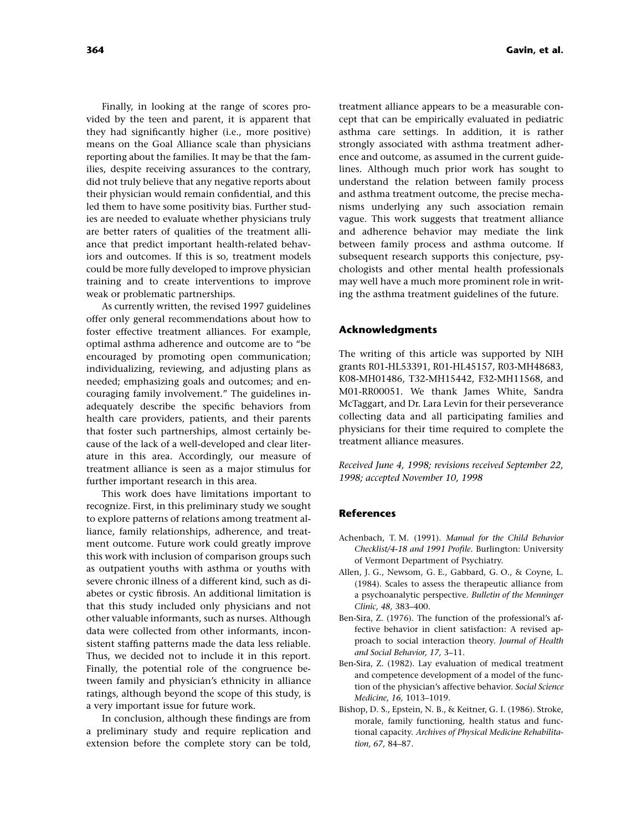Finally, in looking at the range of scores provided by the teen and parent, it is apparent that they had significantly higher (i.e., more positive) means on the Goal Alliance scale than physicians reporting about the families. It may be that the families, despite receiving assurances to the contrary, did not truly believe that any negative reports about their physician would remain confidential, and this led them to have some positivity bias. Further studies are needed to evaluate whether physicians truly are better raters of qualities of the treatment alliance that predict important health-related behaviors and outcomes. If this is so, treatment models could be more fully developed to improve physician training and to create interventions to improve weak or problematic partnerships.

As currently written, the revised 1997 guidelines offer only general recommendations about how to foster effective treatment alliances. For example, optimal asthma adherence and outcome are to "be encouraged by promoting open communication; individualizing, reviewing, and adjusting plans as needed; emphasizing goals and outcomes; and encouraging family involvement." The guidelines inadequately describe the specific behaviors from health care providers, patients, and their parents that foster such partnerships, almost certainly because of the lack of a well-developed and clear literature in this area. Accordingly, our measure of treatment alliance is seen as a major stimulus for further important research in this area.

This work does have limitations important to recognize. First, in this preliminary study we sought to explore patterns of relations among treatment alliance, family relationships, adherence, and treatment outcome. Future work could greatly improve this work with inclusion of comparison groups such as outpatient youths with asthma or youths with severe chronic illness of a different kind, such as diabetes or cystic fibrosis. An additional limitation is that this study included only physicians and not other valuable informants, such as nurses. Although data were collected from other informants, inconsistent staffing patterns made the data less reliable. Thus, we decided not to include it in this report. Finally, the potential role of the congruence between family and physician's ethnicity in alliance ratings, although beyond the scope of this study, is a very important issue for future work.

In conclusion, although these findings are from a preliminary study and require replication and extension before the complete story can be told,

treatment alliance appears to be a measurable concept that can be empirically evaluated in pediatric asthma care settings. In addition, it is rather strongly associated with asthma treatment adherence and outcome, as assumed in the current guidelines. Although much prior work has sought to understand the relation between family process and asthma treatment outcome, the precise mechanisms underlying any such association remain vague. This work suggests that treatment alliance and adherence behavior may mediate the link between family process and asthma outcome. If subsequent research supports this conjecture, psychologists and other mental health professionals may well have a much more prominent role in writing the asthma treatment guidelines of the future.

## **Acknowledgments**

The writing of this article was supported by NIH grants R01-HL53391, R01-HL45157, R03-MH48683, K08-MH01486, T32-MH15442, F32-MH11568, and M01-RR00051. We thank James White, Sandra McTaggart, and Dr. Lara Levin for their perseverance collecting data and all participating families and physicians for their time required to complete the treatment alliance measures.

*Received June 4, 1998; revisions received September 22, 1998; accepted November 10, 1998*

## **References**

- Achenbach, T. M. (1991). *Manual for the Child Behavior Checklist/4-18 and 1991 Profile.* Burlington: University of Vermont Department of Psychiatry.
- Allen, J. G., Newsom, G. E., Gabbard, G. O., & Coyne, L. (1984). Scales to assess the therapeutic alliance from a psychoanalytic perspective. *Bulletin of the Menninger Clinic, 48,* 383–400.
- Ben-Sira, Z. (1976). The function of the professional's affective behavior in client satisfaction: A revised approach to social interaction theory. *Journal of Health and Social Behavior, 17,* 3–11.
- Ben-Sira, Z. (1982). Lay evaluation of medical treatment and competence development of a model of the function of the physician's affective behavior. *Social Science Medicine, 16,* 1013–1019.
- Bishop, D. S., Epstein, N. B., & Keitner, G. I. (1986). Stroke, morale, family functioning, health status and functional capacity. *Archives of Physical Medicine Rehabilitation, 67,* 84–87.